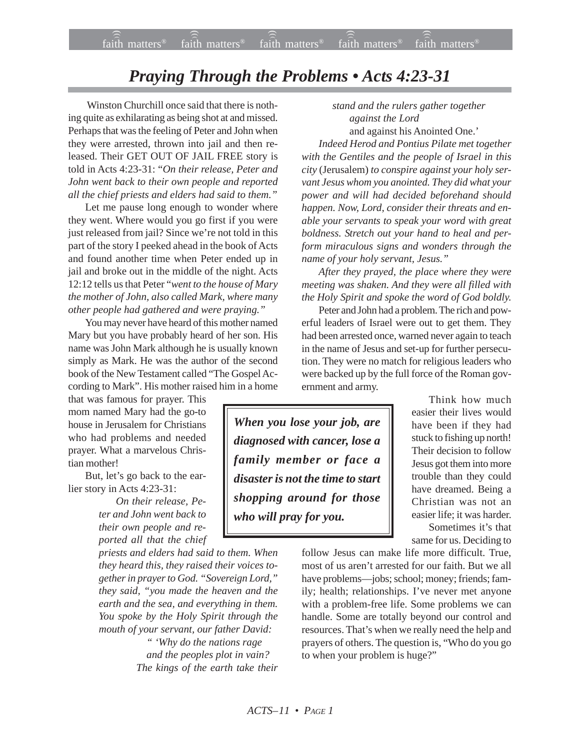## *Praying Through the Problems • Acts 4:23-31*

 Winston Churchill once said that there is nothing quite as exhilarating as being shot at and missed. Perhaps that was the feeling of Peter and John when they were arrested, thrown into jail and then released. Their GET OUT OF JAIL FREE story is told in Acts 4:23-31: "*On their release, Peter and John went back to their own people and reported all the chief priests and elders had said to them."*

Let me pause long enough to wonder where they went. Where would you go first if you were just released from jail? Since we're not told in this part of the story I peeked ahead in the book of Acts and found another time when Peter ended up in jail and broke out in the middle of the night. Acts 12:12 tells us that Peter "*went to the house of Mary the mother of John, also called Mark, where many other people had gathered and were praying."*

You may never have heard of this mother named Mary but you have probably heard of her son. His name was John Mark although he is usually known simply as Mark. He was the author of the second book of the New Testament called "The Gospel According to Mark". His mother raised him in a home

that was famous for prayer. This mom named Mary had the go-to house in Jerusalem for Christians who had problems and needed prayer. What a marvelous Christian mother!

But, let's go back to the earlier story in Acts 4:23-31:

> *On their release, Peter and John went back to their own people and reported all that the chief*

*priests and elders had said to them. When they heard this, they raised their voices together in prayer to God. "Sovereign Lord," they said, "you made the heaven and the earth and the sea, and everything in them. You spoke by the Holy Spirit through the mouth of your servant, our father David:*

> *" 'Why do the nations rage and the peoples plot in vain? The kings of the earth take their*

*stand and the rulers gather together against the Lord* and against his Anointed One.'

*Indeed Herod and Pontius Pilate met together with the Gentiles and the people of Israel in this city* (Jerusalem) *to conspire against your holy servant Jesus whom you anointed. They did what your power and will had decided beforehand should happen. Now, Lord, consider their threats and enable your servants to speak your word with great boldness. Stretch out your hand to heal and perform miraculous signs and wonders through the name of your holy servant, Jesus."*

*After they prayed, the place where they were meeting was shaken. And they were all filled with the Holy Spirit and spoke the word of God boldly.*

Peter and John had a problem. The rich and powerful leaders of Israel were out to get them. They had been arrested once, warned never again to teach in the name of Jesus and set-up for further persecution. They were no match for religious leaders who were backed up by the full force of the Roman government and army.

*When you lose your job, are diagnosed with cancer, lose a family member or face a disaster is not the time to start shopping around for those who will pray for you.*

Think how much easier their lives would have been if they had stuck to fishing up north! Their decision to follow Jesus got them into more trouble than they could have dreamed. Being a Christian was not an easier life; it was harder. Sometimes it's that same for us. Deciding to

follow Jesus can make life more difficult. True, most of us aren't arrested for our faith. But we all have problems—jobs; school; money; friends; family; health; relationships. I've never met anyone with a problem-free life. Some problems we can handle. Some are totally beyond our control and resources. That's when we really need the help and prayers of others. The question is, "Who do you go to when your problem is huge?"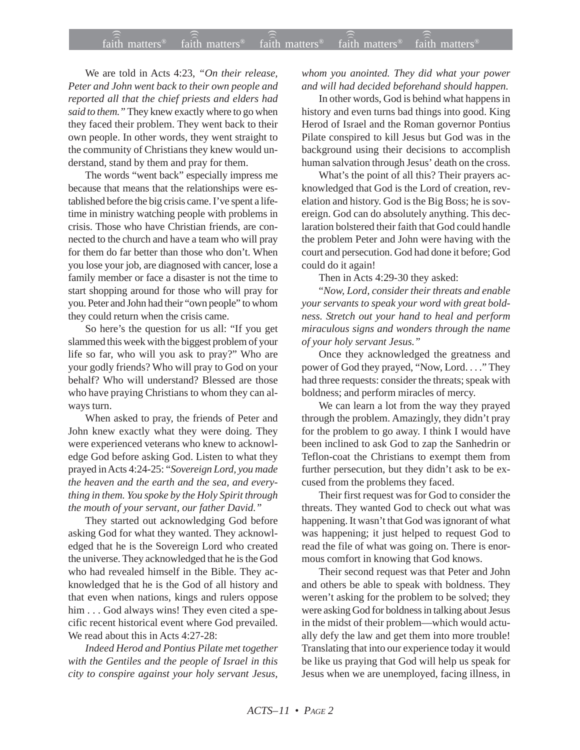We are told in Acts 4:23, *"On their release, Peter and John went back to their own people and reported all that the chief priests and elders had said to them."* They knew exactly where to go when they faced their problem. They went back to their own people. In other words, they went straight to the community of Christians they knew would understand, stand by them and pray for them.

The words "went back" especially impress me because that means that the relationships were established before the big crisis came. I've spent a lifetime in ministry watching people with problems in crisis. Those who have Christian friends, are connected to the church and have a team who will pray for them do far better than those who don't. When you lose your job, are diagnosed with cancer, lose a family member or face a disaster is not the time to start shopping around for those who will pray for you. Peter and John had their "own people" to whom they could return when the crisis came.

So here's the question for us all: "If you get slammed this week with the biggest problem of your life so far, who will you ask to pray?" Who are your godly friends? Who will pray to God on your behalf? Who will understand? Blessed are those who have praying Christians to whom they can always turn.

When asked to pray, the friends of Peter and John knew exactly what they were doing. They were experienced veterans who knew to acknowledge God before asking God. Listen to what they prayed in Acts 4:24-25: "*Sovereign Lord, you made the heaven and the earth and the sea, and everything in them. You spoke by the Holy Spirit through the mouth of your servant, our father David."*

They started out acknowledging God before asking God for what they wanted. They acknowledged that he is the Sovereign Lord who created the universe. They acknowledged that he is the God who had revealed himself in the Bible. They acknowledged that he is the God of all history and that even when nations, kings and rulers oppose him . . . God always wins! They even cited a specific recent historical event where God prevailed. We read about this in Acts 4:27-28:

*Indeed Herod and Pontius Pilate met together with the Gentiles and the people of Israel in this city to conspire against your holy servant Jesus,*

*whom you anointed. They did what your power and will had decided beforehand should happen.*

In other words, God is behind what happens in history and even turns bad things into good. King Herod of Israel and the Roman governor Pontius Pilate conspired to kill Jesus but God was in the background using their decisions to accomplish human salvation through Jesus' death on the cross.

What's the point of all this? Their prayers acknowledged that God is the Lord of creation, revelation and history. God is the Big Boss; he is sovereign. God can do absolutely anything. This declaration bolstered their faith that God could handle the problem Peter and John were having with the court and persecution. God had done it before; God could do it again!

Then in Acts 4:29-30 they asked:

"*Now, Lord, consider their threats and enable your servants to speak your word with great boldness. Stretch out your hand to heal and perform miraculous signs and wonders through the name of your holy servant Jesus."*

Once they acknowledged the greatness and power of God they prayed, "Now, Lord. . . ." They had three requests: consider the threats; speak with boldness; and perform miracles of mercy.

We can learn a lot from the way they prayed through the problem. Amazingly, they didn't pray for the problem to go away. I think I would have been inclined to ask God to zap the Sanhedrin or Teflon-coat the Christians to exempt them from further persecution, but they didn't ask to be excused from the problems they faced.

Their first request was for God to consider the threats. They wanted God to check out what was happening. It wasn't that God was ignorant of what was happening; it just helped to request God to read the file of what was going on. There is enormous comfort in knowing that God knows.

Their second request was that Peter and John and others be able to speak with boldness. They weren't asking for the problem to be solved; they were asking God for boldness in talking about Jesus in the midst of their problem—which would actually defy the law and get them into more trouble! Translating that into our experience today it would be like us praying that God will help us speak for Jesus when we are unemployed, facing illness, in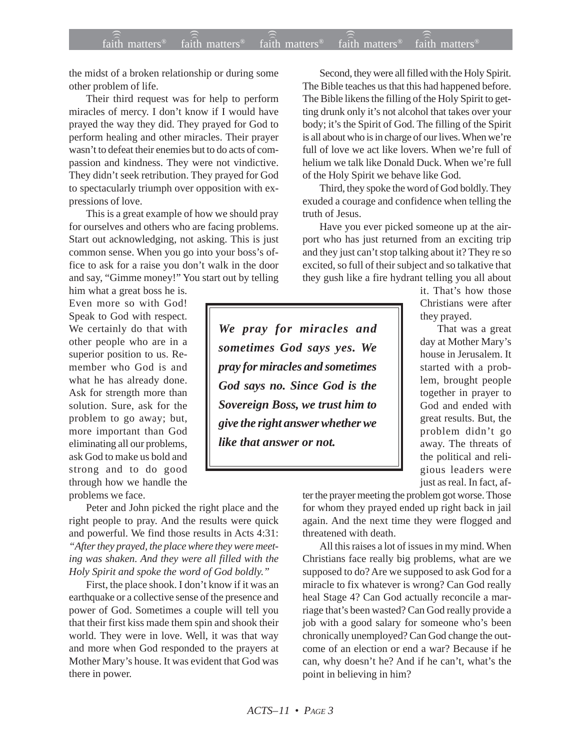the midst of a broken relationship or during some other problem of life.

Their third request was for help to perform miracles of mercy. I don't know if I would have prayed the way they did. They prayed for God to perform healing and other miracles. Their prayer wasn't to defeat their enemies but to do acts of compassion and kindness. They were not vindictive. They didn't seek retribution. They prayed for God to spectacularly triumph over opposition with expressions of love.

This is a great example of how we should pray for ourselves and others who are facing problems. Start out acknowledging, not asking. This is just common sense. When you go into your boss's office to ask for a raise you don't walk in the door and say, "Gimme money!" You start out by telling

him what a great boss he is. Even more so with God! Speak to God with respect. We certainly do that with other people who are in a superior position to us. Remember who God is and what he has already done. Ask for strength more than solution. Sure, ask for the problem to go away; but, more important than God eliminating all our problems, ask God to make us bold and strong and to do good through how we handle the problems we face.

Peter and John picked the right place and the right people to pray. And the results were quick and powerful. We find those results in Acts 4:31: *"After they prayed, the place where they were meeting was shaken. And they were all filled with the Holy Spirit and spoke the word of God boldly."*

First, the place shook. I don't know if it was an earthquake or a collective sense of the presence and power of God. Sometimes a couple will tell you that their first kiss made them spin and shook their world. They were in love. Well, it was that way and more when God responded to the prayers at Mother Mary's house. It was evident that God was there in power.

Second, they were all filled with the Holy Spirit. The Bible teaches us that this had happened before. The Bible likens the filling of the Holy Spirit to getting drunk only it's not alcohol that takes over your body; it's the Spirit of God. The filling of the Spirit is all about who is in charge of our lives. When we're full of love we act like lovers. When we're full of helium we talk like Donald Duck. When we're full of the Holy Spirit we behave like God.

Third, they spoke the word of God boldly. They exuded a courage and confidence when telling the truth of Jesus.

Have you ever picked someone up at the airport who has just returned from an exciting trip and they just can't stop talking about it? They re so excited, so full of their subject and so talkative that they gush like a fire hydrant telling you all about

*We pray for miracles and sometimes God says yes. We pray for miracles and sometimes God says no. Since God is the Sovereign Boss, we trust him to give the right answer whether we like that answer or not.*

it. That's how those Christians were after they prayed.

That was a great day at Mother Mary's house in Jerusalem. It started with a problem, brought people together in prayer to God and ended with great results. But, the problem didn't go away. The threats of the political and religious leaders were just as real. In fact, af-

ter the prayer meeting the problem got worse. Those for whom they prayed ended up right back in jail again. And the next time they were flogged and threatened with death.

All this raises a lot of issues in my mind. When Christians face really big problems, what are we supposed to do? Are we supposed to ask God for a miracle to fix whatever is wrong? Can God really heal Stage 4? Can God actually reconcile a marriage that's been wasted? Can God really provide a job with a good salary for someone who's been chronically unemployed? Can God change the outcome of an election or end a war? Because if he can, why doesn't he? And if he can't, what's the point in believing in him?